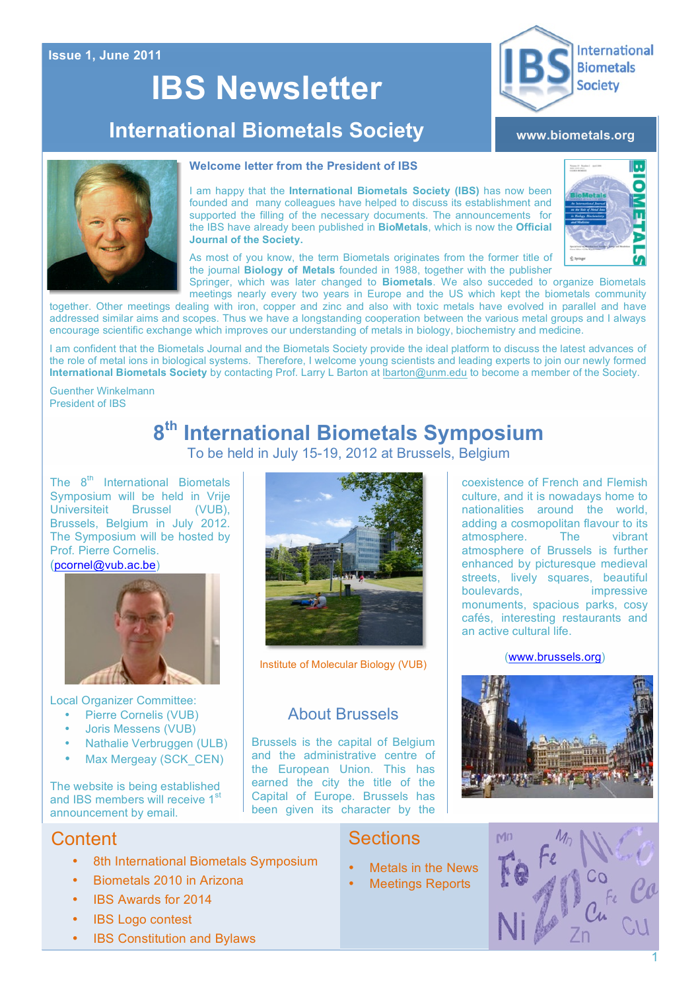#### **Issue 1, June 2011**

# **IBS Newsletter**

## **International Biometals Society**

#### **www.biometals.org**



#### **Welcome letter from the President of IBS**

I am happy that the **International Biometals Society (IBS)** has now been founded and many colleagues have helped to discuss its establishment and supported the filling of the necessary documents. The announcements for the IBS have already been published in **BioMetals**, which is now the **Official Journal of the Society.**



**International** 

**Biometals Society** 

As most of you know, the term Biometals originates from the former title of the journal **Biology of Metals** founded in 1988, together with the publisher Springer, which was later changed to **Biometals**. We also succeded to organize Biometals

meetings nearly every two years in Europe and the US which kept the biometals community together. Other meetings dealing with iron, copper and zinc and also with toxic metals have evolved in parallel and have addressed similar aims and scopes. Thus we have a longstanding cooperation between the various metal groups and I always encourage scientific exchange which improves our understanding of metals in biology, biochemistry and medicine.

I am confident that the Biometals Journal and the Biometals Society provide the ideal platform to discuss the latest advances of the role of metal ions in biological systems. Therefore, I welcome young scientists and leading experts to join our newly formed **International Biometals Society** by contacting Prof. Larry L Barton at lbarton@unm.edu to become a member of the Society.

Guenther Winkelmann President of IBS

### **8th International Biometals Symposium** To be held in July 15-19, 2012 at Brussels, Belgium

The  $8<sup>th</sup>$  International Biometals Symposium will be held in Vrije Universiteit Brussel (VUB), Brussels, Belgium in July 2012. The Symposium will be hosted by Prof. Pierre Cornelis.

#### (pcornel@vub.ac.be)



Local Organizer Committee:

- Pierre Cornelis (VUB)
- Joris Messens (VUB)
- Nathalie Verbruggen (ULB)
- Max Mergeay (SCK\_CEN)

The website is being established and IBS members will receive  $1<sup>s</sup>$ announcement by email.

### **Content**

- 8th International Biometals Symposium
- Biometals 2010 in Arizona
- IBS Awards for 2014
- **IBS Logo contest**
- IBS Constitution and Bylaws



Institute of Molecular Biology (VUB)

### About Brussels

Brussels is the capital of Belgium and the administrative centre of the European Union. This has earned the city the title of the Capital of Europe. Brussels has been given its character by the coexistence of French and Flemish culture, and it is nowadays home to nationalities around the world, adding a cosmopolitan flavour to its<br>atmosphere The vibrant atmosphere. atmosphere of Brussels is further enhanced by picturesque medieval streets, lively squares, beautiful<br>boulevards. impressive boulevards. monuments, spacious parks, cosy cafés, interesting restaurants and an active cultural life.

#### (www.brussels.org)



### **Sections**

- Metals in the News
- **Meetings Reports**



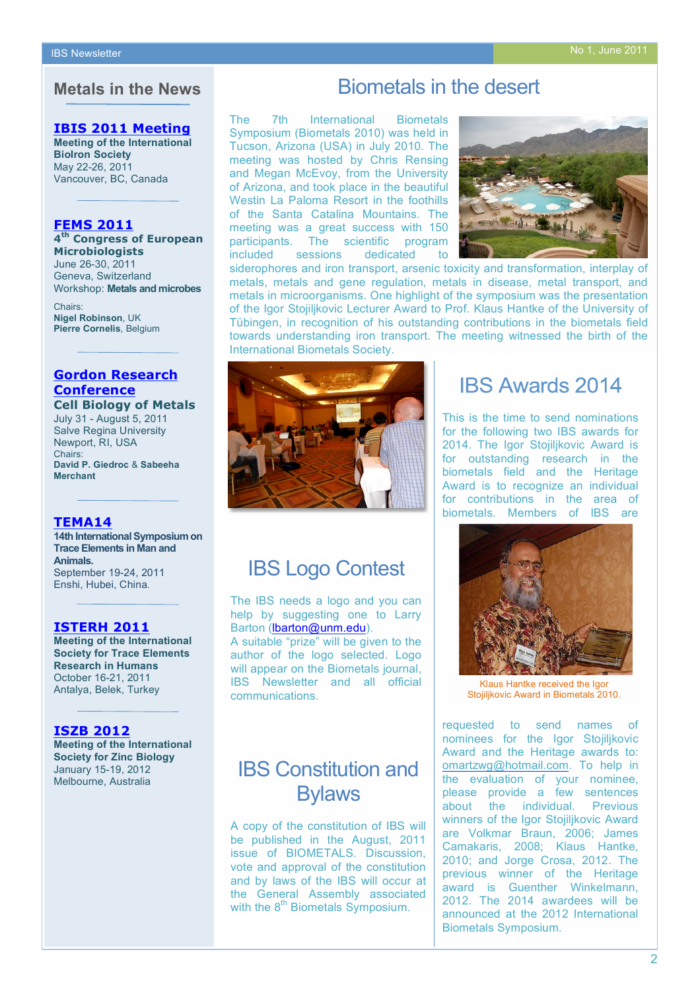### **Metals in the News**

#### **[IBIS 2011 Meeting](http://www.bioiron.org/default.aspx)**

**Meeting of the International BioIron Society** May 22-26, 2011 Vancouver, BC, Canada

#### **FEMS 2011**

**4th [Congress of European](http://www2.kenes.com/fems2011/Pages/Home.aspx)  Microbiologists** June 26-30, 2011

Geneva, Switzerland Workshop: **Metals and microbes**

Chairs: **Nigel Robinson**, UK **Pierre Cornelis**, Belgium

#### **Gordon Research Conference**

**[Cell Biology of Metals](http://www.grc.org/programs.aspx?year=2011&program=cellbiomet)** July 31 - August 5, 2011 Salve Regina University Newport, RI, USA Chairs: **David P. Giedroc** & **Sabeeha Merchant**

#### **TEMA14**

**[14th International Symposium on](http://www.tema14.org/temayw/index.html)  Trace Elements in Man and Animals.** September 19-24, 2011 Enshi, Hubei, China.

#### **ISTERH 2011**

**[Meeting of the International](http://www.isterh.com/)  Society for Trace Elements Research in Humans** October 16-21, 2011 Antalya, Belek, Turkey

#### **ISZB 2012**

**[Meeting of the International](http://www.iszb2012.org/welcome-to-iszb-2/)  Society for Zinc Biology** January 15-19, 2012 Melbourne, Australia

### Biometals in the desert

The 7th International Biometals Symposium (Biometals 2010) was held in Tucson, Arizona (USA) in July 2010. The meeting was hosted by Chris Rensing and Megan McEvoy, from the University of Arizona, and took place in the beautiful Westin La Paloma Resort in the foothills of the Santa Catalina Mountains. The meeting was a great success with 150 participants. The scientific program<br>included sessions dedicated to sessions dedicated to



siderophores and iron transport, arsenic toxicity and transformation, interplay of metals, metals and gene regulation, metals in disease, metal transport, and metals in microorganisms. One highlight of the symposium was the presentation of the Igor Stojiljkovic Lecturer Award to Prof. Klaus Hantke of the University of Tübingen, in recognition of his outstanding contributions in the biometals field towards understanding iron transport. The meeting witnessed the birth of the International Biometals Society.



### **IBS Awards 2014**

This is the time to send nominations for the following two IBS awards for 2014. The Igor Stojiljkovic Award is for outstanding research in the biometals field and the Heritage Award is to recognize an individual for contributions in the area of biometals. Members of IBS are



Klaus Hantke received the Igor Stojiljkovic Award in Biometals 2010.

requested to send names of nominees for the Igor Stojiljkovic Award and the Heritage awards to: omartzwg@hotmail.com. To help in the evaluation of your nominee, please provide a few sentences about the individual. Previous winners of the Igor Stojiljkovic Award are Volkmar Braun, 2006; James Camakaris, 2008; Klaus Hantke, 2010; and Jorge Crosa, 2012. The previous winner of the Heritage award is Guenther Winkelmann, 2012. The 2014 awardees will be announced at the 2012 International Biometals Symposium.

### IBS Logo Contest

The IBS needs a logo and you can help by suggesting one to Larry Barton (lbarton@unm.edu).

A suitable "prize" will be given to the author of the logo selected. Logo will appear on the Biometals journal, IBS Newsletter and all official communications.

### IBS Constitution and **Bylaws**

A copy of the constitution of IBS will be published in the August, 2011 issue of BIOMETALS. Discussion, vote and approval of the constitution and by laws of the IBS will occur at the General Assembly associated with the 8<sup>th</sup> Biometals Symposium.